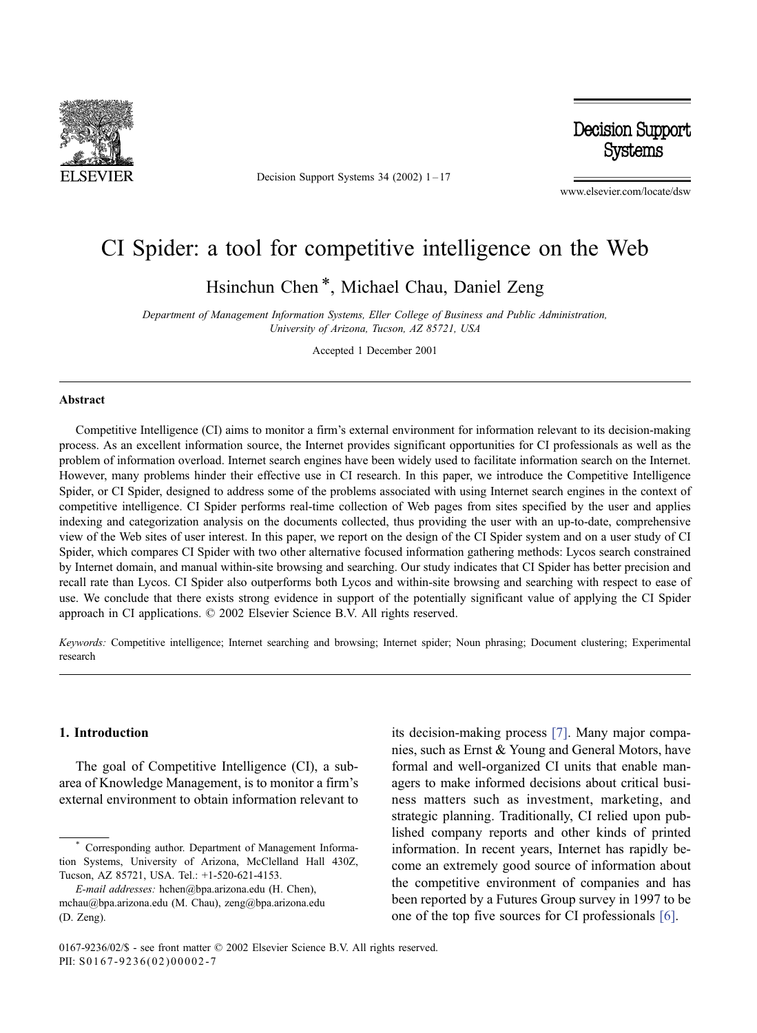

Decision Support Systems 34 (2002)  $1-17$ 

**Decision Support Systems** 

www.elsevier.com/locate/dsw

# CI Spider: a tool for competitive intelligence on the Web

Hsinchun Chen \*, Michael Chau, Daniel Zeng

Department of Management Information Systems, Eller College of Business and Public Administration, University of Arizona, Tucson, AZ 85721, USA

Accepted 1 December 2001

#### Abstract

Competitive Intelligence (CI) aims to monitor a firm's external environment for information relevant to its decision-making process. As an excellent information source, the Internet provides significant opportunities for CI professionals as well as the problem of information overload. Internet search engines have been widely used to facilitate information search on the Internet. However, many problems hinder their effective use in CI research. In this paper, we introduce the Competitive Intelligence Spider, or CI Spider, designed to address some of the problems associated with using Internet search engines in the context of competitive intelligence. CI Spider performs real-time collection of Web pages from sites specified by the user and applies indexing and categorization analysis on the documents collected, thus providing the user with an up-to-date, comprehensive view of the Web sites of user interest. In this paper, we report on the design of the CI Spider system and on a user study of CI Spider, which compares CI Spider with two other alternative focused information gathering methods: Lycos search constrained by Internet domain, and manual within-site browsing and searching. Our study indicates that CI Spider has better precision and recall rate than Lycos. CI Spider also outperforms both Lycos and within-site browsing and searching with respect to ease of use. We conclude that there exists strong evidence in support of the potentially significant value of applying the CI Spider approach in CI applications.  $\oslash$  2002 Elsevier Science B.V. All rights reserved.

Keywords: Competitive intelligence; Internet searching and browsing; Internet spider; Noun phrasing; Document clustering; Experimental research

# 1. Introduction

The goal of Competitive Intelligence (CI), a subarea of Knowledge Management, is to monitor a firm's external environment to obtain information relevant to

its decision-making process [\[7\].](#page-15-0) Many major companies, such as Ernst & Young and General Motors, have formal and well-organized CI units that enable managers to make informed decisions about critical business matters such as investment, marketing, and strategic planning. Traditionally, CI relied upon published company reports and other kinds of printed information. In recent years, Internet has rapidly become an extremely good source of information about the competitive environment of companies and has been reported by a Futures Group survey in 1997 to be one of the top five sources for CI professionals [\[6\].](#page-15-0)

Corresponding author. Department of Management Information Systems, University of Arizona, McClelland Hall 430Z, Tucson, AZ 85721, USA. Tel.: +1-520-621-4153.

E-mail addresses: hchen@bpa.arizona.edu (H. Chen), mchau@bpa.arizona.edu (M. Chau), zeng@bpa.arizona.edu (D. Zeng).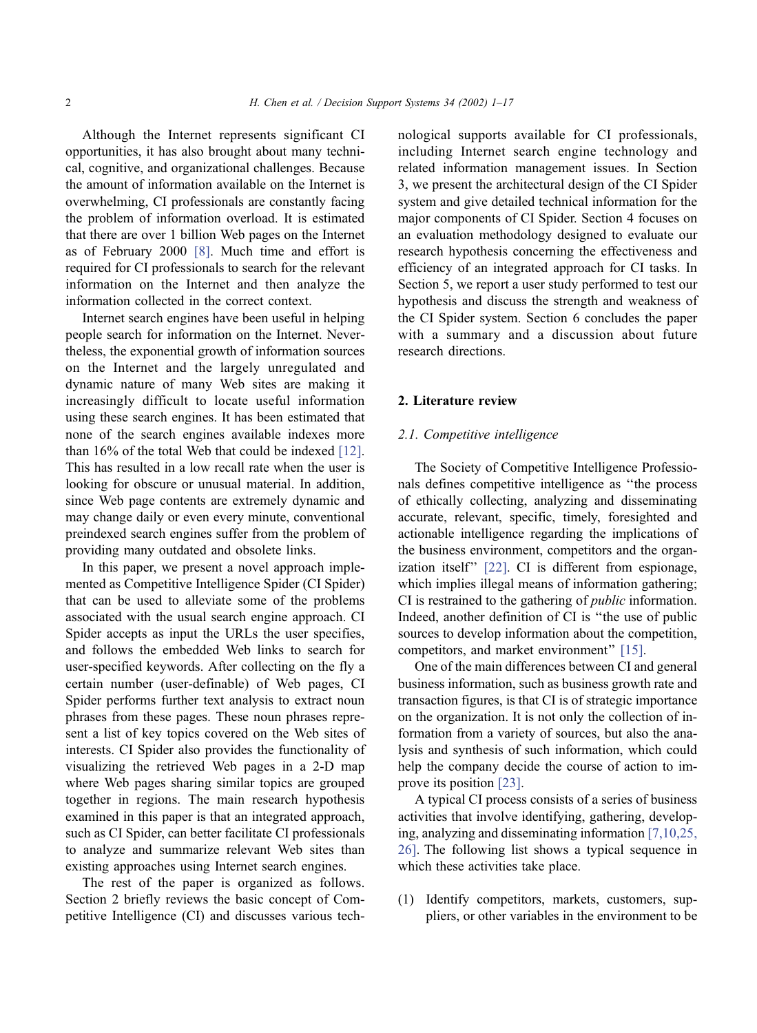Although the Internet represents significant CI opportunities, it has also brought about many technical, cognitive, and organizational challenges. Because the amount of information available on the Internet is overwhelming, CI professionals are constantly facing the problem of information overload. It is estimated that there are over 1 billion Web pages on the Internet as of February 2000 [\[8\].](#page-15-0) Much time and effort is required for CI professionals to search for the relevant information on the Internet and then analyze the information collected in the correct context.

Internet search engines have been useful in helping people search for information on the Internet. Nevertheless, the exponential growth of information sources on the Internet and the largely unregulated and dynamic nature of many Web sites are making it increasingly difficult to locate useful information using these search engines. It has been estimated that none of the search engines available indexes more than 16% of the total Web that could be indexed [\[12\].](#page-15-0) This has resulted in a low recall rate when the user is looking for obscure or unusual material. In addition, since Web page contents are extremely dynamic and may change daily or even every minute, conventional preindexed search engines suffer from the problem of providing many outdated and obsolete links.

In this paper, we present a novel approach implemented as Competitive Intelligence Spider (CI Spider) that can be used to alleviate some of the problems associated with the usual search engine approach. CI Spider accepts as input the URLs the user specifies, and follows the embedded Web links to search for user-specified keywords. After collecting on the fly a certain number (user-definable) of Web pages, CI Spider performs further text analysis to extract noun phrases from these pages. These noun phrases represent a list of key topics covered on the Web sites of interests. CI Spider also provides the functionality of visualizing the retrieved Web pages in a 2-D map where Web pages sharing similar topics are grouped together in regions. The main research hypothesis examined in this paper is that an integrated approach, such as CI Spider, can better facilitate CI professionals to analyze and summarize relevant Web sites than existing approaches using Internet search engines.

The rest of the paper is organized as follows. Section 2 briefly reviews the basic concept of Competitive Intelligence (CI) and discusses various technological supports available for CI professionals, including Internet search engine technology and related information management issues. In Section 3, we present the architectural design of the CI Spider system and give detailed technical information for the major components of CI Spider. Section 4 focuses on an evaluation methodology designed to evaluate our research hypothesis concerning the effectiveness and efficiency of an integrated approach for CI tasks. In Section 5, we report a user study performed to test our hypothesis and discuss the strength and weakness of the CI Spider system. Section 6 concludes the paper with a summary and a discussion about future research directions.

# 2. Literature review

#### 2.1. Competitive intelligence

The Society of Competitive Intelligence Professionals defines competitive intelligence as ''the process of ethically collecting, analyzing and disseminating accurate, relevant, specific, timely, foresighted and actionable intelligence regarding the implications of the business environment, competitors and the organization itself'' [\[22\].](#page-15-0) CI is different from espionage, which implies illegal means of information gathering; CI is restrained to the gathering of public information. Indeed, another definition of CI is ''the use of public sources to develop information about the competition, competitors, and market environment" [\[15\].](#page-15-0)

One of the main differences between CI and general business information, such as business growth rate and transaction figures, is that CI is of strategic importance on the organization. It is not only the collection of information from a variety of sources, but also the analysis and synthesis of such information, which could help the company decide the course of action to improve its position [\[23\].](#page-15-0)

A typical CI process consists of a series of business activities that involve identifying, gathering, developing, analyzing and disseminating information [\[7,10,25,](#page-15-0) 26]. The following list shows a typical sequence in which these activities take place.

(1) Identify competitors, markets, customers, suppliers, or other variables in the environment to be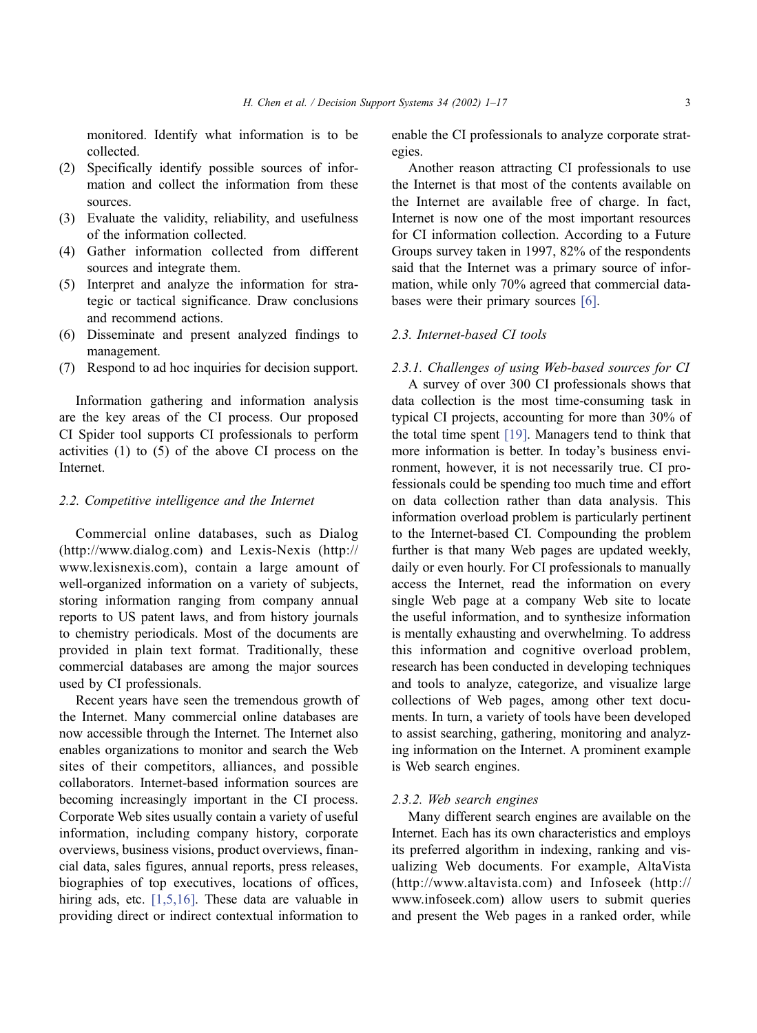monitored. Identify what information is to be collected.

- (2) Specifically identify possible sources of information and collect the information from these sources.
- (3) Evaluate the validity, reliability, and usefulness of the information collected.
- (4) Gather information collected from different sources and integrate them.
- (5) Interpret and analyze the information for strategic or tactical significance. Draw conclusions and recommend actions.
- (6) Disseminate and present analyzed findings to management.
- (7) Respond to ad hoc inquiries for decision support.

Information gathering and information analysis are the key areas of the CI process. Our proposed CI Spider tool supports CI professionals to perform activities (1) to (5) of the above CI process on the Internet.

## 2.2. Competitive intelligence and the Internet

Commercial online databases, such as Dialog ([http://www.dialog.com\)]( http:\\www.dialog.com ) and Lexis-Nexis ([http://]( http:\\www.lexisnexis.com ) www.lexisnexis.com), contain a large amount of well-organized information on a variety of subjects, storing information ranging from company annual reports to US patent laws, and from history journals to chemistry periodicals. Most of the documents are provided in plain text format. Traditionally, these commercial databases are among the major sources used by CI professionals.

Recent years have seen the tremendous growth of the Internet. Many commercial online databases are now accessible through the Internet. The Internet also enables organizations to monitor and search the Web sites of their competitors, alliances, and possible collaborators. Internet-based information sources are becoming increasingly important in the CI process. Corporate Web sites usually contain a variety of useful information, including company history, corporate overviews, business visions, product overviews, financial data, sales figures, annual reports, press releases, biographies of top executives, locations of offices, hiring ads, etc. [\[1,5,16\].](#page-15-0) These data are valuable in providing direct or indirect contextual information to

enable the CI professionals to analyze corporate strategies.

Another reason attracting CI professionals to use the Internet is that most of the contents available on the Internet are available free of charge. In fact, Internet is now one of the most important resources for CI information collection. According to a Future Groups survey taken in 1997, 82% of the respondents said that the Internet was a primary source of information, while only 70% agreed that commercial data-bases were their primary sources [\[6\].](#page-15-0)

## 2.3. Internet-based CI tools

# 2.3.1. Challenges of using Web-based sources for CI

A survey of over 300 CI professionals shows that data collection is the most time-consuming task in typical CI projects, accounting for more than 30% of the total time spent [\[19\].](#page-15-0) Managers tend to think that more information is better. In today's business environment, however, it is not necessarily true. CI professionals could be spending too much time and effort on data collection rather than data analysis. This information overload problem is particularly pertinent to the Internet-based CI. Compounding the problem further is that many Web pages are updated weekly, daily or even hourly. For CI professionals to manually access the Internet, read the information on every single Web page at a company Web site to locate the useful information, and to synthesize information is mentally exhausting and overwhelming. To address this information and cognitive overload problem, research has been conducted in developing techniques and tools to analyze, categorize, and visualize large collections of Web pages, among other text documents. In turn, a variety of tools have been developed to assist searching, gathering, monitoring and analyzing information on the Internet. A prominent example is Web search engines.

## 2.3.2. Web search engines

Many different search engines are available on the Internet. Each has its own characteristics and employs its preferred algorithm in indexing, ranking and visualizing Web documents. For example, AltaVista ([http://www.altavista.com\)]( http:\\www.altavista.com ) and Infoseek ([http://]( http:\\www.infoseek.com ) www.infoseek.com) allow users to submit queries and present the Web pages in a ranked order, while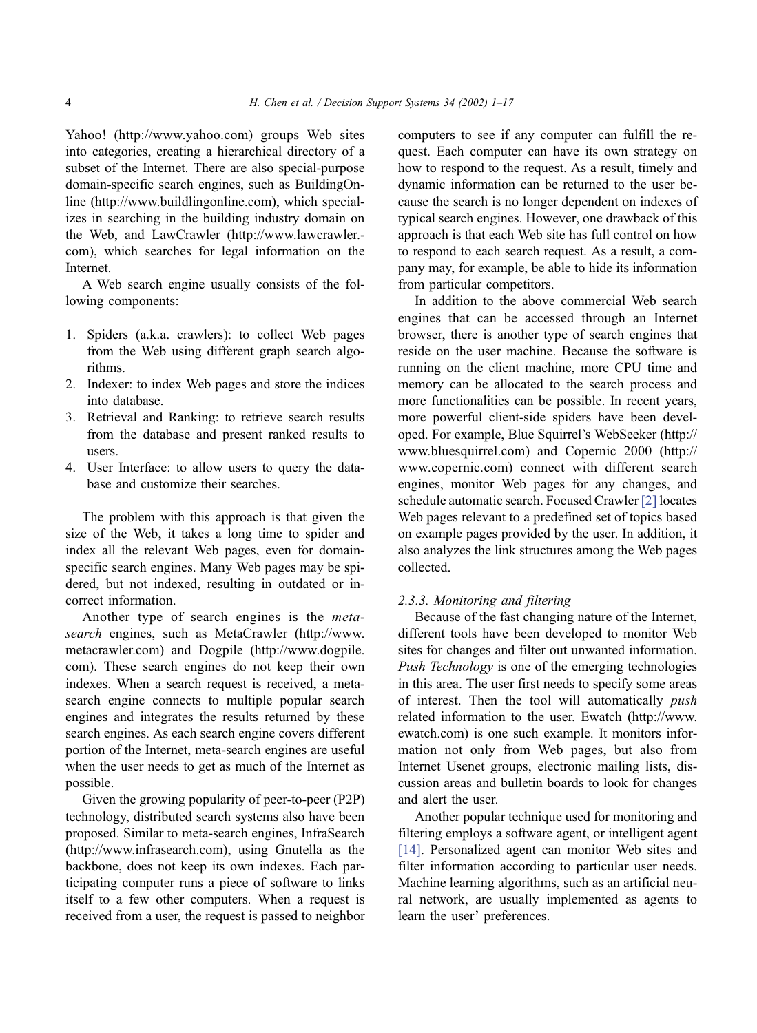Yahoo! ([http://www.yahoo.com\)]( http:\\www.yahoo.com ) groups Web sites into categories, creating a hierarchical directory of a subset of the Internet. There are also special-purpose domain-specific search engines, such as BuildingOnline ([http://www.buildlingonline.com\)]( http:\\www.buildlingonline.com ), which specializes in searching in the building industry domain on the Web, and LawCrawler ([http://www.lawcrawler.]( http:\\www.lawcrawler.com ) com), which searches for legal information on the Internet.

A Web search engine usually consists of the following components:

- 1. Spiders (a.k.a. crawlers): to collect Web pages from the Web using different graph search algorithms.
- 2. Indexer: to index Web pages and store the indices into database.
- 3. Retrieval and Ranking: to retrieve search results from the database and present ranked results to users.
- 4. User Interface: to allow users to query the database and customize their searches.

The problem with this approach is that given the size of the Web, it takes a long time to spider and index all the relevant Web pages, even for domainspecific search engines. Many Web pages may be spidered, but not indexed, resulting in outdated or incorrect information.

Another type of search engines is the metasearch engines, such as MetaCrawler ([http://www.]( http:\\www.metacrawler.com ) metacrawler.com) and Dogpile ([http://www.dogpile.]( http:\\www.dogpile.com ) com). These search engines do not keep their own indexes. When a search request is received, a metasearch engine connects to multiple popular search engines and integrates the results returned by these search engines. As each search engine covers different portion of the Internet, meta-search engines are useful when the user needs to get as much of the Internet as possible.

Given the growing popularity of peer-to-peer (P2P) technology, distributed search systems also have been proposed. Similar to meta-search engines, InfraSearch ([http://www.infrasearch.com\)]( http:\\www.infrasearch.com ), using Gnutella as the backbone, does not keep its own indexes. Each participating computer runs a piece of software to links itself to a few other computers. When a request is received from a user, the request is passed to neighbor computers to see if any computer can fulfill the request. Each computer can have its own strategy on how to respond to the request. As a result, timely and dynamic information can be returned to the user because the search is no longer dependent on indexes of typical search engines. However, one drawback of this approach is that each Web site has full control on how to respond to each search request. As a result, a company may, for example, be able to hide its information from particular competitors.

In addition to the above commercial Web search engines that can be accessed through an Internet browser, there is another type of search engines that reside on the user machine. Because the software is running on the client machine, more CPU time and memory can be allocated to the search process and more functionalities can be possible. In recent years, more powerful client-side spiders have been developed. For example, Blue Squirrel's WebSeeker ([http://]( http:\\www.bluesquirrel.com ) www.bluesquirrel.com) and Copernic 2000 ([http://]( http:\\www.copernic.com ) www.copernic.com) connect with different search engines, monitor Web pages for any changes, and schedule automatic search. Focused Crawler [\[2\]](#page-15-0) locates Web pages relevant to a predefined set of topics based on example pages provided by the user. In addition, it also analyzes the link structures among the Web pages collected.

## 2.3.3. Monitoring and filtering

Because of the fast changing nature of the Internet, different tools have been developed to monitor Web sites for changes and filter out unwanted information. Push Technology is one of the emerging technologies in this area. The user first needs to specify some areas of interest. Then the tool will automatically push related information to the user. Ewatch ([http://www.]( http:\\www.ewatch.com ) ewatch.com) is one such example. It monitors information not only from Web pages, but also from Internet Usenet groups, electronic mailing lists, discussion areas and bulletin boards to look for changes and alert the user.

Another popular technique used for monitoring and filtering employs a software agent, or intelligent agent [\[14\].](#page-15-0) Personalized agent can monitor Web sites and filter information according to particular user needs. Machine learning algorithms, such as an artificial neural network, are usually implemented as agents to learn the user' preferences.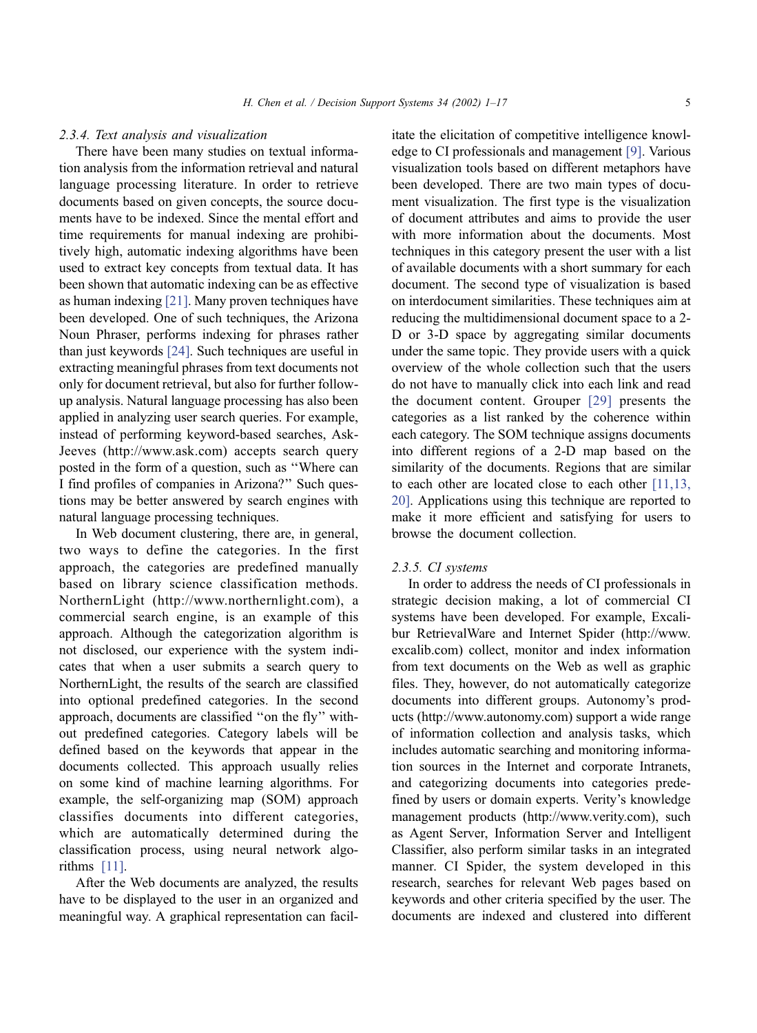#### 2.3.4. Text analysis and visualization

There have been many studies on textual information analysis from the information retrieval and natural language processing literature. In order to retrieve documents based on given concepts, the source documents have to be indexed. Since the mental effort and time requirements for manual indexing are prohibitively high, automatic indexing algorithms have been used to extract key concepts from textual data. It has been shown that automatic indexing can be as effective as human indexing [\[21\].](#page-15-0) Many proven techniques have been developed. One of such techniques, the Arizona Noun Phraser, performs indexing for phrases rather than just keywords [\[24\].](#page-15-0) Such techniques are useful in extracting meaningful phrases from text documents not only for document retrieval, but also for further followup analysis. Natural language processing has also been applied in analyzing user search queries. For example, instead of performing keyword-based searches, Ask-Jeeves ([http://www.ask.com\)]( http:\\www.ask.com ) accepts search query posted in the form of a question, such as ''Where can I find profiles of companies in Arizona?'' Such questions may be better answered by search engines with natural language processing techniques.

In Web document clustering, there are, in general, two ways to define the categories. In the first approach, the categories are predefined manually based on library science classification methods. NorthernLight ([http://www.northernlight.com\)]( http:\\www.northernlight.com ), a commercial search engine, is an example of this approach. Although the categorization algorithm is not disclosed, our experience with the system indicates that when a user submits a search query to NorthernLight, the results of the search are classified into optional predefined categories. In the second approach, documents are classified ''on the fly'' without predefined categories. Category labels will be defined based on the keywords that appear in the documents collected. This approach usually relies on some kind of machine learning algorithms. For example, the self-organizing map (SOM) approach classifies documents into different categories, which are automatically determined during the classification process, using neural network algorithms [\[11\].](#page-15-0)

After the Web documents are analyzed, the results have to be displayed to the user in an organized and meaningful way. A graphical representation can facilitate the elicitation of competitive intelligence knowledge to CI professionals and management [\[9\].](#page-15-0) Various visualization tools based on different metaphors have been developed. There are two main types of document visualization. The first type is the visualization of document attributes and aims to provide the user with more information about the documents. Most techniques in this category present the user with a list of available documents with a short summary for each document. The second type of visualization is based on interdocument similarities. These techniques aim at reducing the multidimensional document space to a 2- D or 3-D space by aggregating similar documents under the same topic. They provide users with a quick overview of the whole collection such that the users do not have to manually click into each link and read the document content. Grouper [\[29\]](#page-15-0) presents the categories as a list ranked by the coherence within each category. The SOM technique assigns documents into different regions of a 2-D map based on the similarity of the documents. Regions that are similar to each other are located close to each other [\[11,13,](#page-15-0) 20]. Applications using this technique are reported to make it more efficient and satisfying for users to browse the document collection.

#### 2.3.5. CI systems

In order to address the needs of CI professionals in strategic decision making, a lot of commercial CI systems have been developed. For example, Excalibur RetrievalWare and Internet Spider ([http://www.]( http:\\www.excalib.com ) excalib.com) collect, monitor and index information from text documents on the Web as well as graphic files. They, however, do not automatically categorize documents into different groups. Autonomy's products ([http://www.autonomy.com\)]( http:\\www.autonomy.com ) support a wide range of information collection and analysis tasks, which includes automatic searching and monitoring information sources in the Internet and corporate Intranets, and categorizing documents into categories predefined by users or domain experts. Verity's knowledge management products ([http://www.verity.com\)]( http:\\www.verity.com ), such as Agent Server, Information Server and Intelligent Classifier, also perform similar tasks in an integrated manner. CI Spider, the system developed in this research, searches for relevant Web pages based on keywords and other criteria specified by the user. The documents are indexed and clustered into different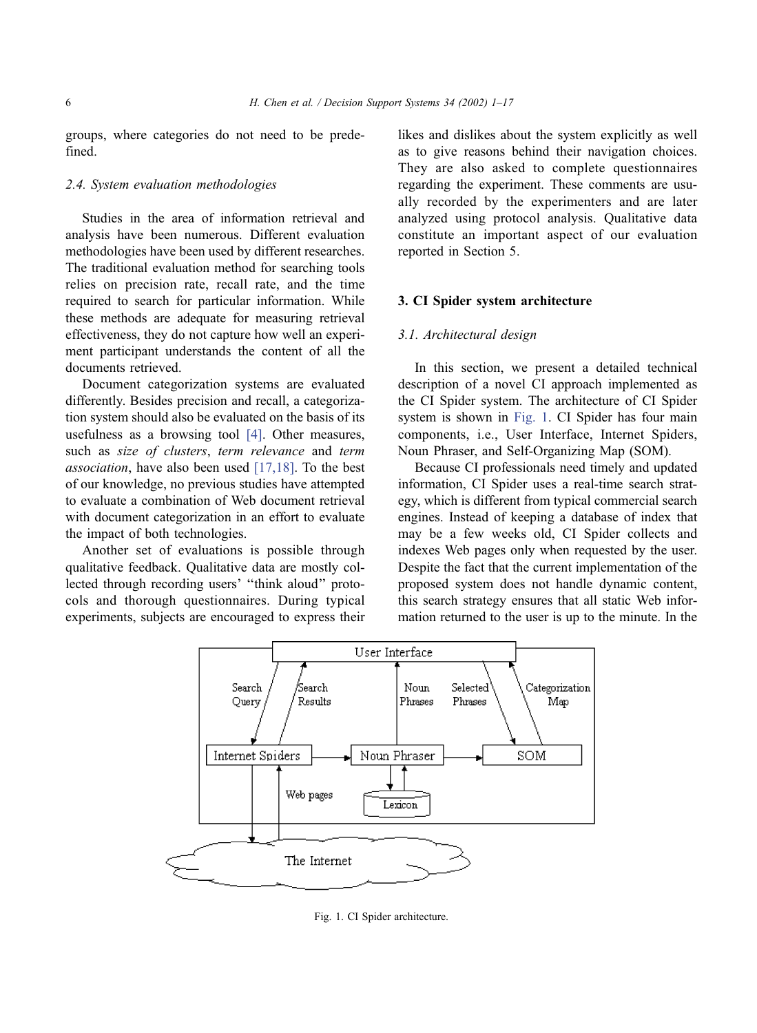groups, where categories do not need to be predefined.

# 2.4. System evaluation methodologies

Studies in the area of information retrieval and analysis have been numerous. Different evaluation methodologies have been used by different researches. The traditional evaluation method for searching tools relies on precision rate, recall rate, and the time required to search for particular information. While these methods are adequate for measuring retrieval effectiveness, they do not capture how well an experiment participant understands the content of all the documents retrieved.

Document categorization systems are evaluated differently. Besides precision and recall, a categorization system should also be evaluated on the basis of its usefulness as a browsing tool [\[4\].](#page-15-0) Other measures, such as size of clusters, term relevance and term association, have also been used  $[17,18]$ . To the best of our knowledge, no previous studies have attempted to evaluate a combination of Web document retrieval with document categorization in an effort to evaluate the impact of both technologies.

Another set of evaluations is possible through qualitative feedback. Qualitative data are mostly collected through recording users' ''think aloud'' protocols and thorough questionnaires. During typical experiments, subjects are encouraged to express their likes and dislikes about the system explicitly as well as to give reasons behind their navigation choices. They are also asked to complete questionnaires regarding the experiment. These comments are usually recorded by the experimenters and are later analyzed using protocol analysis. Qualitative data constitute an important aspect of our evaluation reported in Section 5.

# 3. CI Spider system architecture

## 3.1. Architectural design

In this section, we present a detailed technical description of a novel CI approach implemented as the CI Spider system. The architecture of CI Spider system is shown in Fig. 1. CI Spider has four main components, i.e., User Interface, Internet Spiders, Noun Phraser, and Self-Organizing Map (SOM).

Because CI professionals need timely and updated information, CI Spider uses a real-time search strategy, which is different from typical commercial search engines. Instead of keeping a database of index that may be a few weeks old, CI Spider collects and indexes Web pages only when requested by the user. Despite the fact that the current implementation of the proposed system does not handle dynamic content, this search strategy ensures that all static Web information returned to the user is up to the minute. In the



Fig. 1. CI Spider architecture.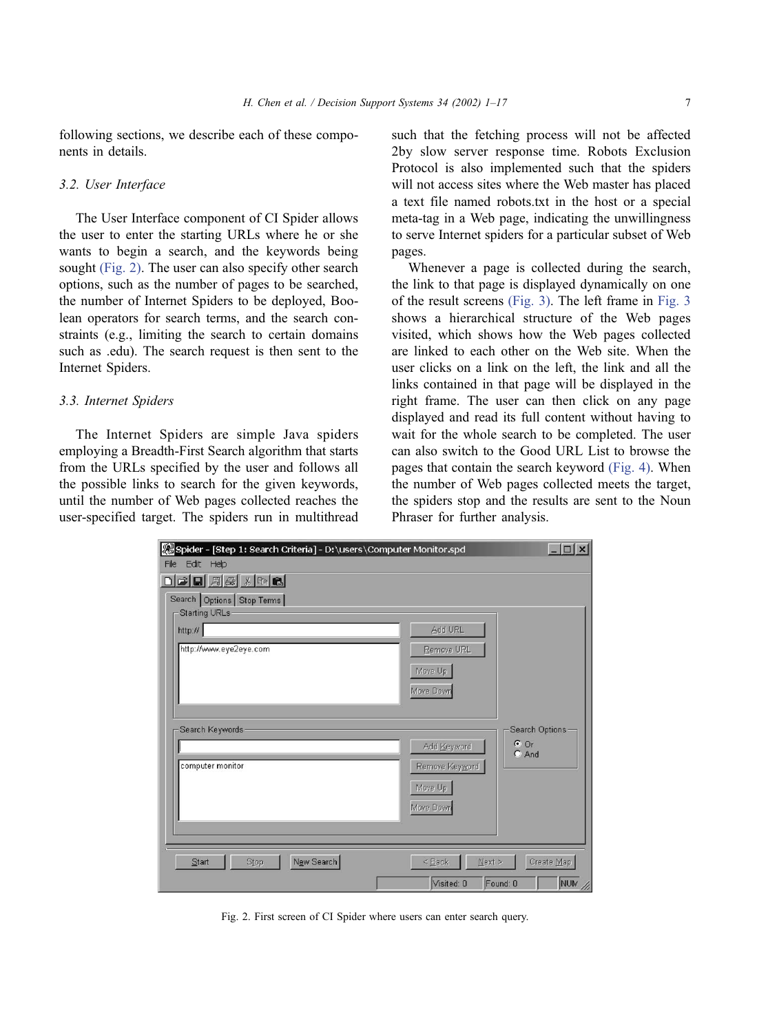following sections, we describe each of these components in details.

## 3.2. User Interface

The User Interface component of CI Spider allows the user to enter the starting URLs where he or she wants to begin a search, and the keywords being sought (Fig. 2). The user can also specify other search options, such as the number of pages to be searched, the number of Internet Spiders to be deployed, Boolean operators for search terms, and the search constraints (e.g., limiting the search to certain domains such as .edu). The search request is then sent to the Internet Spiders.

## 3.3. Internet Spiders

The Internet Spiders are simple Java spiders employing a Breadth-First Search algorithm that starts from the URLs specified by the user and follows all the possible links to search for the given keywords, until the number of Web pages collected reaches the user-specified target. The spiders run in multithread such that the fetching process will not be affected 2by slow server response time. Robots Exclusion Protocol is also implemented such that the spiders will not access sites where the Web master has placed a text file named robots.txt in the host or a special meta-tag in a Web page, indicating the unwillingness to serve Internet spiders for a particular subset of Web pages.

Whenever a page is collected during the search, the link to that page is displayed dynamically on one of the result screens [\(Fig. 3\).](#page-7-0) The left frame in [Fig. 3](#page-7-0) shows a hierarchical structure of the Web pages visited, which shows how the Web pages collected are linked to each other on the Web site. When the user clicks on a link on the left, the link and all the links contained in that page will be displayed in the right frame. The user can then click on any page displayed and read its full content without having to wait for the whole search to be completed. The user can also switch to the Good URL List to browse the pages that contain the search keyword [\(Fig. 4\).](#page-8-0) When the number of Web pages collected meets the target, the spiders stop and the results are sent to the Noun Phraser for further analysis.

| Spider - [Step 1: Search Criteria] - D:\users\Computer Monitor.spd |                      | $ \Box$ $\times$  |
|--------------------------------------------------------------------|----------------------|-------------------|
| File Edit Help                                                     |                      |                   |
| $\Box$                                                             |                      |                   |
| Search Options Stop Terms                                          |                      |                   |
| <b>Starting URLs</b>                                               |                      |                   |
| http://                                                            | Add URL              |                   |
| http://www.eye2eye.com                                             | Remove URL           |                   |
|                                                                    | Move Up              |                   |
|                                                                    | Move Down            |                   |
|                                                                    |                      |                   |
| Search Keywords                                                    |                      | Search Options-   |
|                                                                    | Add Keyword          | G Or<br>$C$ And   |
| computer monitor                                                   | Remove Keyword       |                   |
|                                                                    | Move Up              |                   |
|                                                                    | Move Down            |                   |
|                                                                    |                      |                   |
|                                                                    |                      |                   |
| New Search<br>Start<br>Stop                                        | $Next$ ><br>$<$ Back | Create Map        |
|                                                                    | Visited: 0           | Found: 0<br>NUN / |

Fig. 2. First screen of CI Spider where users can enter search query.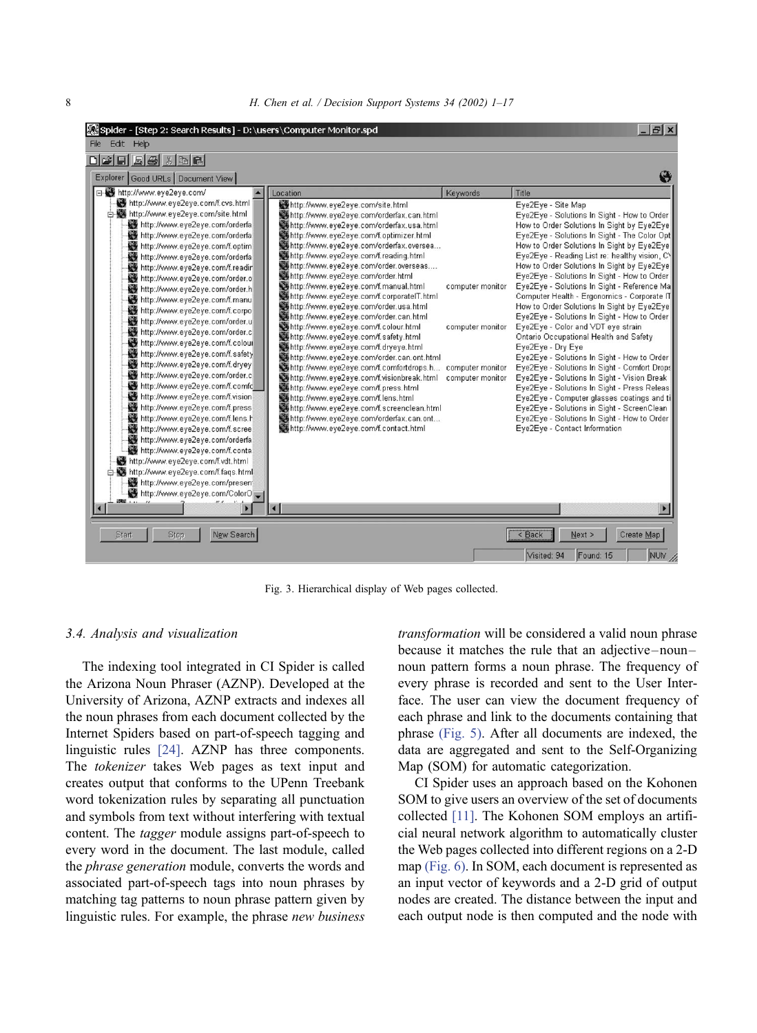<span id="page-7-0"></span>

| Spider - [Step 2: Search Results] - D:\users\Computer Monitor.spd                                                                                                                                                                                                                                                                                                                                                                                                                                                                                                                                                                                                            |                                                                                                                                                                                                                                                                                                                                                                                                                                                                                                                                                                                                                                                                                                      |                                                          | $  E $ x                                                                                                                                                                                                                                                                                                                                                                                                                                                                                                                                                                                                                                                                                                             |
|------------------------------------------------------------------------------------------------------------------------------------------------------------------------------------------------------------------------------------------------------------------------------------------------------------------------------------------------------------------------------------------------------------------------------------------------------------------------------------------------------------------------------------------------------------------------------------------------------------------------------------------------------------------------------|------------------------------------------------------------------------------------------------------------------------------------------------------------------------------------------------------------------------------------------------------------------------------------------------------------------------------------------------------------------------------------------------------------------------------------------------------------------------------------------------------------------------------------------------------------------------------------------------------------------------------------------------------------------------------------------------------|----------------------------------------------------------|----------------------------------------------------------------------------------------------------------------------------------------------------------------------------------------------------------------------------------------------------------------------------------------------------------------------------------------------------------------------------------------------------------------------------------------------------------------------------------------------------------------------------------------------------------------------------------------------------------------------------------------------------------------------------------------------------------------------|
| Edit Help<br>File                                                                                                                                                                                                                                                                                                                                                                                                                                                                                                                                                                                                                                                            |                                                                                                                                                                                                                                                                                                                                                                                                                                                                                                                                                                                                                                                                                                      |                                                          |                                                                                                                                                                                                                                                                                                                                                                                                                                                                                                                                                                                                                                                                                                                      |
| $D \times H = 1$                                                                                                                                                                                                                                                                                                                                                                                                                                                                                                                                                                                                                                                             |                                                                                                                                                                                                                                                                                                                                                                                                                                                                                                                                                                                                                                                                                                      |                                                          |                                                                                                                                                                                                                                                                                                                                                                                                                                                                                                                                                                                                                                                                                                                      |
| Explorer Good URLs Document View                                                                                                                                                                                                                                                                                                                                                                                                                                                                                                                                                                                                                                             |                                                                                                                                                                                                                                                                                                                                                                                                                                                                                                                                                                                                                                                                                                      |                                                          | Ø                                                                                                                                                                                                                                                                                                                                                                                                                                                                                                                                                                                                                                                                                                                    |
| http://www.eye2eye.com/<br>http://www.eye2eye.com/f.cvs.html<br>http://www.eye2eye.com/site.html<br>http://www.eye2eye.com/orderfa<br>http://www.eye2eye.com/orderfa<br>http://www.eye2eye.com/f.optim<br>http://www.eye2eye.com/orderfa<br>http://www.eye2eye.com/f.readir                                                                                                                                                                                                                                                                                                                                                                                                  | Location<br>http://www.eye2eye.com/site.html<br>http://www.eye2eye.com/orderfax.can.html<br>http://www.eye2eye.com/orderfax.usa.html<br>http://www.eye2eye.com/f.optimizer.html<br>http://www.eye2eye.com/orderfax.oversea<br>http://www.eye2eye.com/f.reading.html<br>http://www.eye2eye.com/order.overseas                                                                                                                                                                                                                                                                                                                                                                                         | Keywords                                                 | Title<br>Eye2Eye - Site Map<br>Eye2Eye - Solutions In Sight - How to Order<br>How to Order Solutions In Sight by Eye2Eye<br>Eye2Eye - Solutions In Sight - The Color Opt<br>How to Order Solutions In Sight by Eye2Eye<br>Eye2Eye - Reading List re: healthy vision, C\<br>How to Order Solutions In Sight by Eye2Eye                                                                                                                                                                                                                                                                                                                                                                                                |
| http://www.eye2eye.com/order.o<br>http://www.eye2eye.com/order.h<br>http://www.eye2eye.com/f.manu<br>http://www.eye2eye.com/f.corpo<br>http://www.eye2eye.com/order.u<br>http://www.eye2eye.com/order.c<br>http://www.eye2eye.com/f.colour<br>http://www.eye2eye.com/f.safety<br>http://www.eye2eye.com/f.dryey<br>http://www.eye2eye.com/order.c<br>http://www.eye2eye.com/f.comfc<br>http://www.eye2eye.com/f.vision<br>http://www.eye2eye.com/f.press<br>http://www.eye2eye.com/f.lens.h<br>http://www.eye2eye.com/f.scree<br>http://www.eye2eye.com/orderfa<br>http://www.eye2eye.com/f.conta<br>http://www.eye2eye.com/f.vdt.html<br>http://www.eye2eye.com/f.faqs.html | http://www.eye2eye.com/order.html<br>http://www.eye2eye.com/f.manual.html<br>http://www.eye2eye.com/f.corporateIT.html<br>http://www.eye2eye.com/order.usa.html<br>http://www.eye2eye.com/order.can.html<br>http://www.eye2eye.com/f.colour.html<br>http://www.eye2eye.com/f.safety.html<br>http://www.eye2eye.com/f.dryeye.html<br>http://www.eye2eye.com/order.can.ont.html<br>http://www.eye2eye.com/f.comfortdrops.h computer monitor<br>http://www.eye2eye.com/f.visionbreak.html<br>http://www.eye2eye.com/f.press.html<br>http://www.eye2eye.com/f.lens.html<br>http://www.eye2eye.com/f.screenclean.html<br>http://www.eye2eye.com/orderfax.can.ont<br>http://www.eye2eye.com/f.contact.html | computer monitor<br>computer monitor<br>computer monitor | Eye2Eye - Solutions In Sight - How to Order<br>Eye2Eye - Solutions In Sight - Reference Ma<br>Computer Health - Ergonomics - Corporate IT<br>How to Order Solutions In Sight by Eye2Eye<br>Eve2Eye - Solutions In Sight - How to Order<br>Eye2Eye - Color and VDT eye strain<br>Ontario Occupational Health and Safety<br>Eye2Eye - Dry Eye<br>Eye2Eye - Solutions In Sight - How to Order<br>Eye2Eye - Solutions In Sight - Comfort Drops<br>Eve2Eye - Solutions In Sight - Vision Break<br>Eye2Eye - Solutions In Sight - Press Releas<br>Eye2Eye - Computer glasses coatings and ti<br>Eye2Eye - Solutions in Sight - ScreenClean<br>Eye2Eye - Solutions In Sight - How to Order<br>Eye2Eye - Contact Information |
| http://www.eye2eye.com/presen<br>http://www.eye2eye.com/ColorO<br>$250 + $                                                                                                                                                                                                                                                                                                                                                                                                                                                                                                                                                                                                   |                                                                                                                                                                                                                                                                                                                                                                                                                                                                                                                                                                                                                                                                                                      |                                                          |                                                                                                                                                                                                                                                                                                                                                                                                                                                                                                                                                                                                                                                                                                                      |
| Stop<br>New Search<br>Start                                                                                                                                                                                                                                                                                                                                                                                                                                                                                                                                                                                                                                                  |                                                                                                                                                                                                                                                                                                                                                                                                                                                                                                                                                                                                                                                                                                      |                                                          | Create Map<br>< Back<br>Next<br>NUN /<br>Found: 15<br>Visited: 94                                                                                                                                                                                                                                                                                                                                                                                                                                                                                                                                                                                                                                                    |

Fig. 3. Hierarchical display of Web pages collected.

### 3.4. Analysis and visualization

The indexing tool integrated in CI Spider is called the Arizona Noun Phraser (AZNP). Developed at the University of Arizona, AZNP extracts and indexes all the noun phrases from each document collected by the Internet Spiders based on part-of-speech tagging and linguistic rules [\[24\].](#page-15-0) AZNP has three components. The tokenizer takes Web pages as text input and creates output that conforms to the UPenn Treebank word tokenization rules by separating all punctuation and symbols from text without interfering with textual content. The *tagger* module assigns part-of-speech to every word in the document. The last module, called the phrase generation module, converts the words and associated part-of-speech tags into noun phrases by matching tag patterns to noun phrase pattern given by linguistic rules. For example, the phrase new business transformation will be considered a valid noun phrase because it matches the rule that an adjective – noun– noun pattern forms a noun phrase. The frequency of every phrase is recorded and sent to the User Interface. The user can view the document frequency of each phrase and link to the documents containing that phrase [\(Fig. 5\).](#page-9-0) After all documents are indexed, the data are aggregated and sent to the Self-Organizing Map (SOM) for automatic categorization.

CI Spider uses an approach based on the Kohonen SOM to give users an overview of the set of documents collected [\[11\].](#page-15-0) The Kohonen SOM employs an artificial neural network algorithm to automatically cluster the Web pages collected into different regions on a 2-D map [\(Fig. 6\).](#page-10-0) In SOM, each document is represented as an input vector of keywords and a 2-D grid of output nodes are created. The distance between the input and each output node is then computed and the node with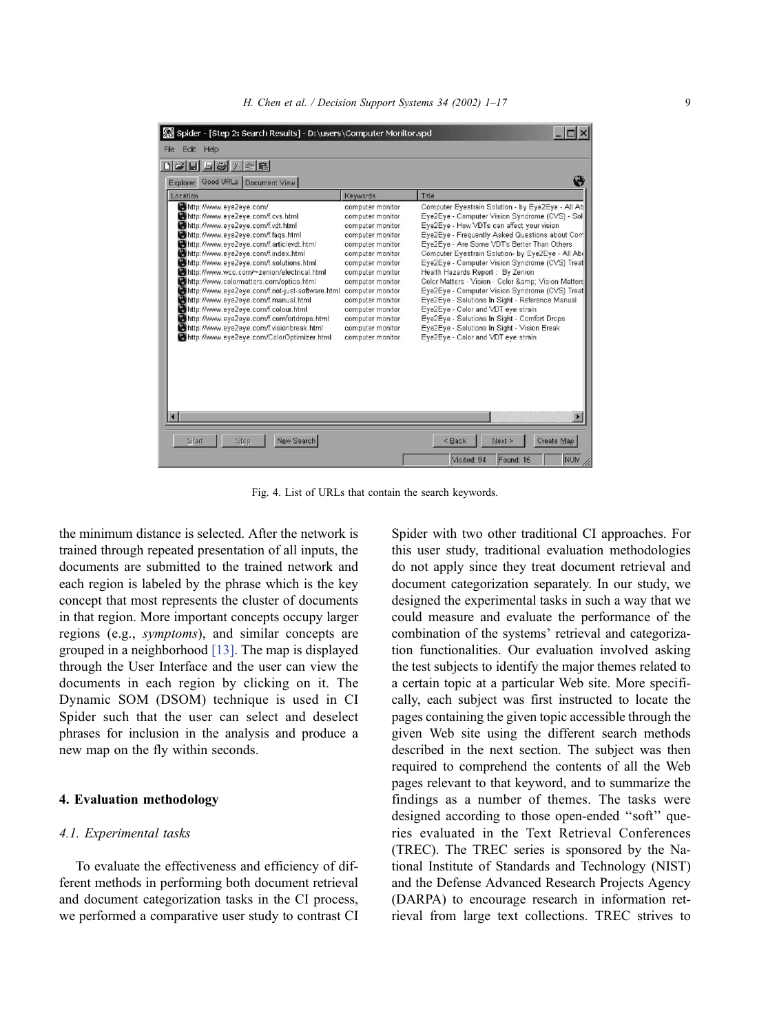H. Chen et al. / Decision Support Systems 34 (2002) 1–17 9

<span id="page-8-0"></span>

| Spider - [Step 2: Search Results] - D: \users \Computer Monitor.spd |                                                                                                                                                                                                                                                                                                                                                                                                                                                                                                                                                                                                                                                             |                                                                                                                                                                                                                                                                                      |                                                                                                                                                                                                                                                                                                                                                                                                                                                                                                                                                                                                                                                                                                                                  |  |
|---------------------------------------------------------------------|-------------------------------------------------------------------------------------------------------------------------------------------------------------------------------------------------------------------------------------------------------------------------------------------------------------------------------------------------------------------------------------------------------------------------------------------------------------------------------------------------------------------------------------------------------------------------------------------------------------------------------------------------------------|--------------------------------------------------------------------------------------------------------------------------------------------------------------------------------------------------------------------------------------------------------------------------------------|----------------------------------------------------------------------------------------------------------------------------------------------------------------------------------------------------------------------------------------------------------------------------------------------------------------------------------------------------------------------------------------------------------------------------------------------------------------------------------------------------------------------------------------------------------------------------------------------------------------------------------------------------------------------------------------------------------------------------------|--|
|                                                                     | File Edit Help                                                                                                                                                                                                                                                                                                                                                                                                                                                                                                                                                                                                                                              |                                                                                                                                                                                                                                                                                      |                                                                                                                                                                                                                                                                                                                                                                                                                                                                                                                                                                                                                                                                                                                                  |  |
|                                                                     | $D[2]$ . $E[3]$ . $E[3]$                                                                                                                                                                                                                                                                                                                                                                                                                                                                                                                                                                                                                                    |                                                                                                                                                                                                                                                                                      |                                                                                                                                                                                                                                                                                                                                                                                                                                                                                                                                                                                                                                                                                                                                  |  |
| Explorer                                                            | Good URLs   Document View                                                                                                                                                                                                                                                                                                                                                                                                                                                                                                                                                                                                                                   |                                                                                                                                                                                                                                                                                      | W                                                                                                                                                                                                                                                                                                                                                                                                                                                                                                                                                                                                                                                                                                                                |  |
| Location                                                            |                                                                                                                                                                                                                                                                                                                                                                                                                                                                                                                                                                                                                                                             | Keywords                                                                                                                                                                                                                                                                             | Title                                                                                                                                                                                                                                                                                                                                                                                                                                                                                                                                                                                                                                                                                                                            |  |
|                                                                     | http://www.eye2eye.com/<br>http://www.eye2eye.com/f.cvs.html<br>http://www.eye2eye.com/f.vdt.html<br>http://www.eye2eye.com/f.faqs.html<br>http://www.eye2eye.com/f.articlevdt.html<br>http://www.eye2eye.com/f.index.html<br>http://www.eye2eye.com/f.solutions.html<br>http://www.wco.com/~zenion/electrical.html<br>http://www.colormatters.com/optics.html<br>http://www.eye2eye.com/f.not-just-software.html computer monitor<br>http://www.eye2eye.com/f.manual.html<br>http://www.eye2eye.com/f.colour.html<br>http://www.eye2eye.com/f.comfortdrops.html<br>http://www.eye2eye.com/f.visionbreak.html<br>http://www.eye2eye.com/ColorOptimizer.html | computer monitor<br>computer monitor<br>computer monitor<br>computer monitor<br>computer monitor<br>computer monitor<br>computer monitor<br>computer monitor<br>computer monitor<br>computer monitor<br>computer monitor<br>computer monitor<br>computer monitor<br>computer monitor | Computer Eyestrain Solution - by Eye2Eye - All Ab<br>Eye2Eye - Computer Vision Syndrome (CVS) - Sol<br>Eye2Eye - How VDTs can affect your vision<br>Eye2Eye - Frequently Asked Questions about Com<br>Eye2Eye - Are Some VDT's Better Than Others<br>Computer Eyestrain Solution- by Eye2Eye - All Abd<br>Eye2Eye - Computer Vision Syndrome (CVS) Treat<br>Health Hazards Report: By Zenion<br>Color Matters - Vision - Color &: Vision Matters<br>Eye2Eye - Computer Vision Syndrome (CVS) Treat<br>Eye2Eye - Solutions In Sight - Reference Manual<br>Eye2Eye - Color and VDT eye strain<br>Eye2Eye - Solutions In Sight - Comfort Drops<br>Eye2Eye - Solutions In Sight - Vision Break<br>Eye2Eye - Color and VDT eye strain |  |
|                                                                     | New Search<br>Stop<br>Start                                                                                                                                                                                                                                                                                                                                                                                                                                                                                                                                                                                                                                 |                                                                                                                                                                                                                                                                                      | Create Map<br>$<$ Back<br>Next ><br>Visited: 94<br>Found: 15<br><b>NUM</b><br>h                                                                                                                                                                                                                                                                                                                                                                                                                                                                                                                                                                                                                                                  |  |

Fig. 4. List of URLs that contain the search keywords.

the minimum distance is selected. After the network is trained through repeated presentation of all inputs, the documents are submitted to the trained network and each region is labeled by the phrase which is the key concept that most represents the cluster of documents in that region. More important concepts occupy larger regions (e.g., symptoms), and similar concepts are grouped in a neighborhood [\[13\].](#page-15-0) The map is displayed through the User Interface and the user can view the documents in each region by clicking on it. The Dynamic SOM (DSOM) technique is used in CI Spider such that the user can select and deselect phrases for inclusion in the analysis and produce a new map on the fly within seconds.

#### 4. Evaluation methodology

## 4.1. Experimental tasks

To evaluate the effectiveness and efficiency of different methods in performing both document retrieval and document categorization tasks in the CI process, we performed a comparative user study to contrast CI Spider with two other traditional CI approaches. For this user study, traditional evaluation methodologies do not apply since they treat document retrieval and document categorization separately. In our study, we designed the experimental tasks in such a way that we could measure and evaluate the performance of the combination of the systems' retrieval and categorization functionalities. Our evaluation involved asking the test subjects to identify the major themes related to a certain topic at a particular Web site. More specifically, each subject was first instructed to locate the pages containing the given topic accessible through the given Web site using the different search methods described in the next section. The subject was then required to comprehend the contents of all the Web pages relevant to that keyword, and to summarize the findings as a number of themes. The tasks were designed according to those open-ended ''soft'' queries evaluated in the Text Retrieval Conferences (TREC). The TREC series is sponsored by the National Institute of Standards and Technology (NIST) and the Defense Advanced Research Projects Agency (DARPA) to encourage research in information retrieval from large text collections. TREC strives to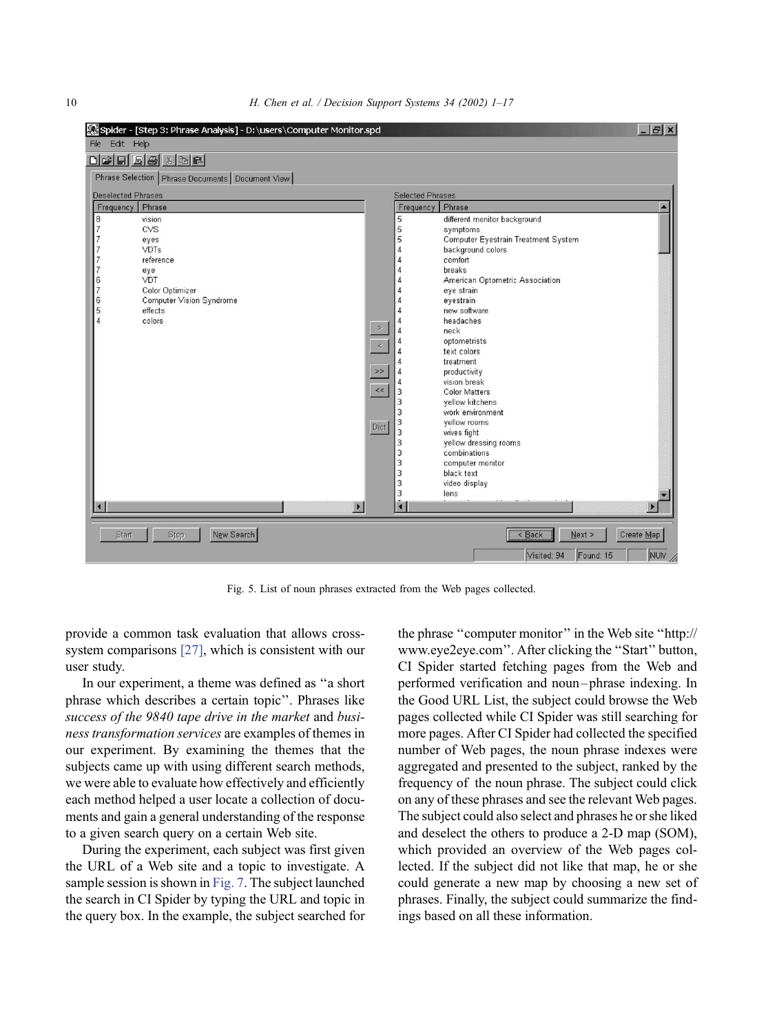<span id="page-9-0"></span>

Fig. 5. List of noun phrases extracted from the Web pages collected.

provide a common task evaluation that allows cross-system comparisons [\[27\],](#page-15-0) which is consistent with our user study.

In our experiment, a theme was defined as ''a short phrase which describes a certain topic''. Phrases like success of the 9840 tape drive in the market and business transformation services are examples of themes in our experiment. By examining the themes that the subjects came up with using different search methods, we were able to evaluate how effectively and efficiently each method helped a user locate a collection of documents and gain a general understanding of the response to a given search query on a certain Web site.

During the experiment, each subject was first given the URL of a Web site and a topic to investigate. A sample session is shown in [Fig. 7.](#page-11-0) The subject launched the search in CI Spider by typing the URL and topic in the query box. In the example, the subject searched for the phrase ''computer monitor'' in the Web site ''[http://]( http:\\www.eye2eye.com ) www.eye2eye.com''. After clicking the ''Start'' button, CI Spider started fetching pages from the Web and performed verification and noun– phrase indexing. In the Good URL List, the subject could browse the Web pages collected while CI Spider was still searching for more pages. After CI Spider had collected the specified number of Web pages, the noun phrase indexes were aggregated and presented to the subject, ranked by the frequency of the noun phrase. The subject could click on any of these phrases and see the relevant Web pages. The subject could also select and phrases he or she liked and deselect the others to produce a 2-D map (SOM), which provided an overview of the Web pages collected. If the subject did not like that map, he or she could generate a new map by choosing a new set of phrases. Finally, the subject could summarize the findings based on all these information.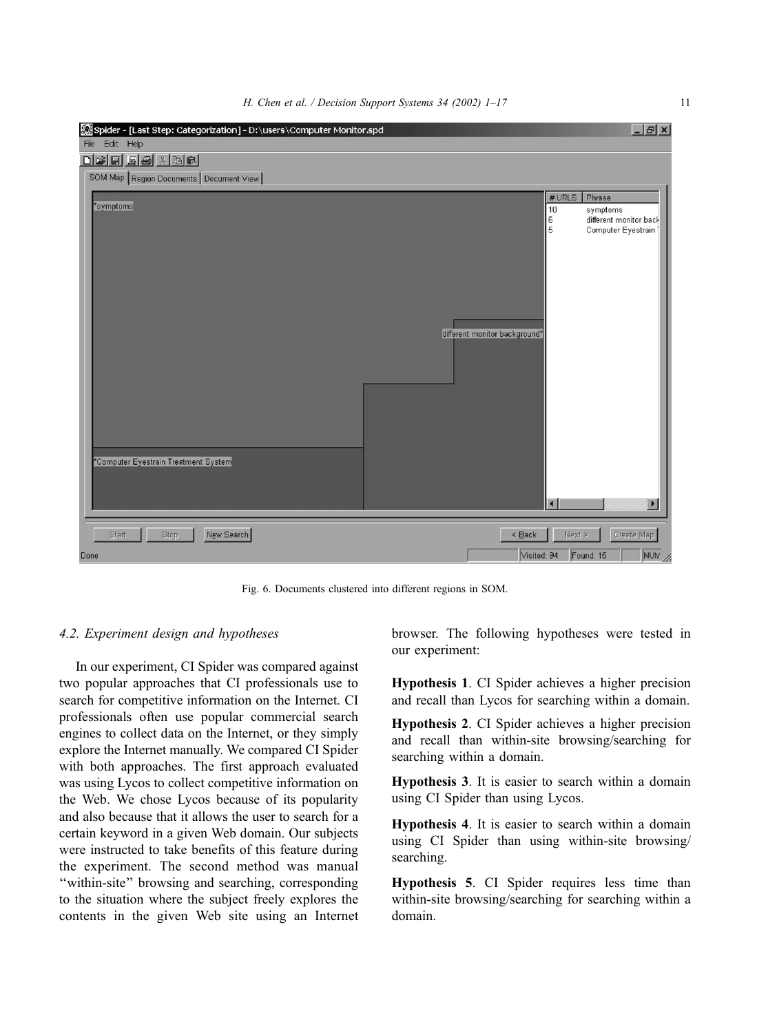<span id="page-10-0"></span>

Fig. 6. Documents clustered into different regions in SOM.

### 4.2. Experiment design and hypotheses

In our experiment, CI Spider was compared against two popular approaches that CI professionals use to search for competitive information on the Internet. CI professionals often use popular commercial search engines to collect data on the Internet, or they simply explore the Internet manually. We compared CI Spider with both approaches. The first approach evaluated was using Lycos to collect competitive information on the Web. We chose Lycos because of its popularity and also because that it allows the user to search for a certain keyword in a given Web domain. Our subjects were instructed to take benefits of this feature during the experiment. The second method was manual ''within-site'' browsing and searching, corresponding to the situation where the subject freely explores the contents in the given Web site using an Internet

browser. The following hypotheses were tested in our experiment:

Hypothesis 1. CI Spider achieves a higher precision and recall than Lycos for searching within a domain.

Hypothesis 2. CI Spider achieves a higher precision and recall than within-site browsing/searching for searching within a domain.

Hypothesis 3. It is easier to search within a domain using CI Spider than using Lycos.

Hypothesis 4. It is easier to search within a domain using CI Spider than using within-site browsing/ searching.

Hypothesis 5. CI Spider requires less time than within-site browsing/searching for searching within a domain.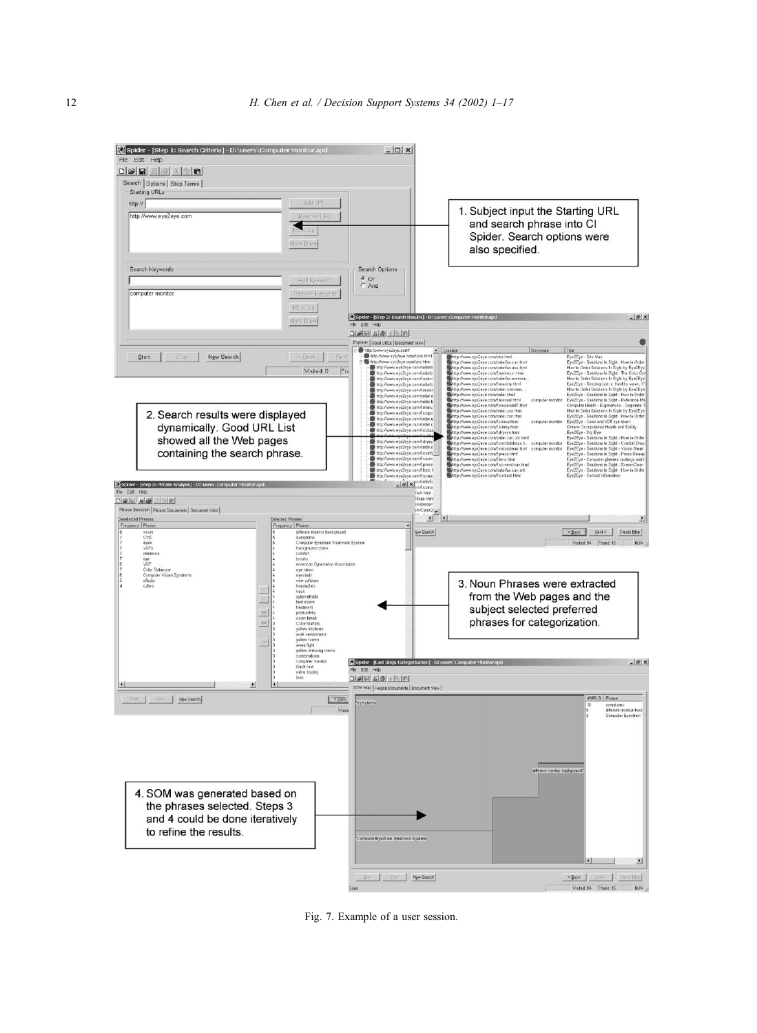<span id="page-11-0"></span>

Fig. 7. Example of a user session.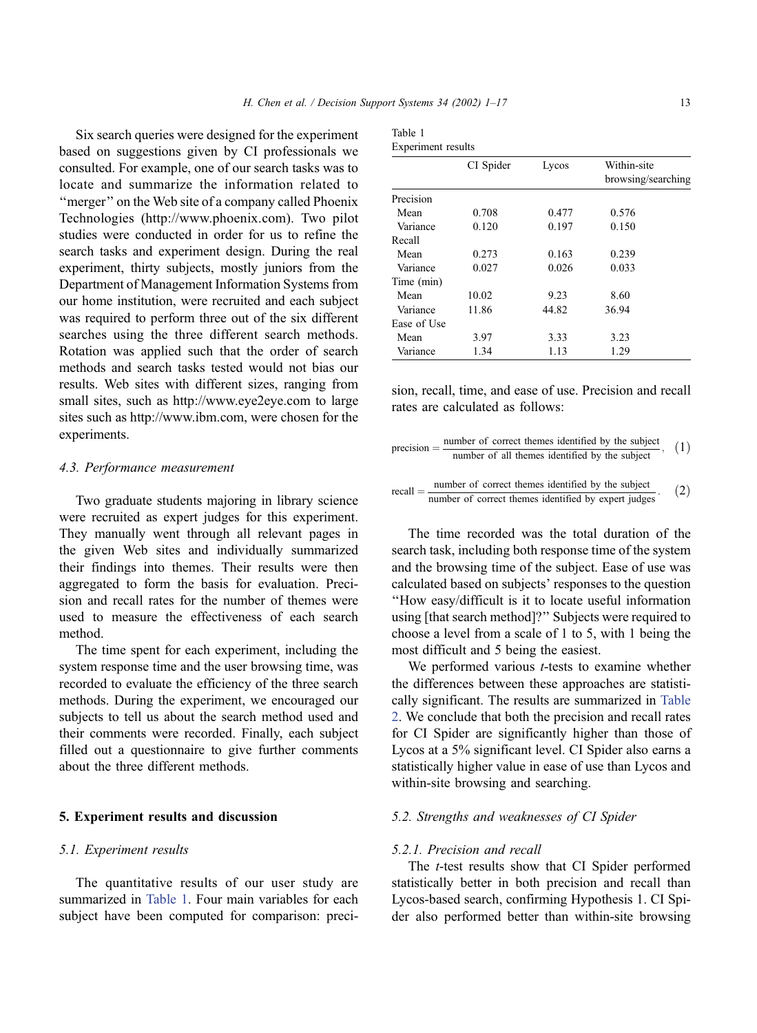Six search queries were designed for the experiment based on suggestions given by CI professionals we consulted. For example, one of our search tasks was to locate and summarize the information related to ''merger'' on the Web site of a company called Phoenix Technologies ([http://www.phoenix.com\)]( http:\\www.phoenix.com ). Two pilot studies were conducted in order for us to refine the search tasks and experiment design. During the real experiment, thirty subjects, mostly juniors from the Department of Management Information Systems from our home institution, were recruited and each subject was required to perform three out of the six different searches using the three different search methods. Rotation was applied such that the order of search methods and search tasks tested would not bias our results. Web sites with different sizes, ranging from small sites, such as [http://www.eye2eye.com]( http:\\www.eye2eye.com ) to large sites such as [http://www.ibm.com,]( http:\\www.ibm.com ) were chosen for the experiments.

#### 4.3. Performance measurement

Two graduate students majoring in library science were recruited as expert judges for this experiment. They manually went through all relevant pages in the given Web sites and individually summarized their findings into themes. Their results were then aggregated to form the basis for evaluation. Precision and recall rates for the number of themes were used to measure the effectiveness of each search method.

The time spent for each experiment, including the system response time and the user browsing time, was recorded to evaluate the efficiency of the three search methods. During the experiment, we encouraged our subjects to tell us about the search method used and their comments were recorded. Finally, each subject filled out a questionnaire to give further comments about the three different methods.

# 5. Experiment results and discussion

#### 5.1. Experiment results

The quantitative results of our user study are summarized in Table 1. Four main variables for each subject have been computed for comparison: preci-

| Table 1            |  |
|--------------------|--|
| Expariment reculte |  |

|             | CI Spider | Lycos | Within-site<br>browsing/searching |
|-------------|-----------|-------|-----------------------------------|
| Precision   |           |       |                                   |
| Mean        | 0.708     | 0.477 | 0.576                             |
| Variance    | 0.120     | 0.197 | 0.150                             |
| Recall      |           |       |                                   |
| Mean        | 0.273     | 0.163 | 0.239                             |
| Variance    | 0.027     | 0.026 | 0.033                             |
| Time (min)  |           |       |                                   |
| Mean        | 10.02     | 9.23  | 8.60                              |
| Variance    | 11.86     | 44.82 | 36.94                             |
| Ease of Use |           |       |                                   |
| Mean        | 3.97      | 3.33  | 3.23                              |
| Variance    | 1.34      | 1.13  | 1.29                              |

sion, recall, time, and ease of use. Precision and recall rates are calculated as follows:

| $precision =$ | number of correct themes identified by the subject | (1) |
|---------------|----------------------------------------------------|-----|
|               | number of all themes identified by the subject     |     |

$$
recall = \frac{number\ of\ correct\ themes\ identified\ by\ the\ subject}{number\ of\ correct\ themes\ identified\ by\ expert\ judges}.\tag{2}
$$

The time recorded was the total duration of the search task, including both response time of the system and the browsing time of the subject. Ease of use was calculated based on subjects' responses to the question ''How easy/difficult is it to locate useful information using [that search method]?'' Subjects were required to choose a level from a scale of 1 to 5, with 1 being the most difficult and 5 being the easiest.

We performed various  $t$ -tests to examine whether the differences between these approaches are statistically significant. The results are summarized in [Table](#page-13-0) 2. We conclude that both the precision and recall rates for CI Spider are significantly higher than those of Lycos at a 5% significant level. CI Spider also earns a statistically higher value in ease of use than Lycos and within-site browsing and searching.

## 5.2. Strengths and weaknesses of CI Spider

## 5.2.1. Precision and recall

The t-test results show that CI Spider performed statistically better in both precision and recall than Lycos-based search, confirming Hypothesis 1. CI Spider also performed better than within-site browsing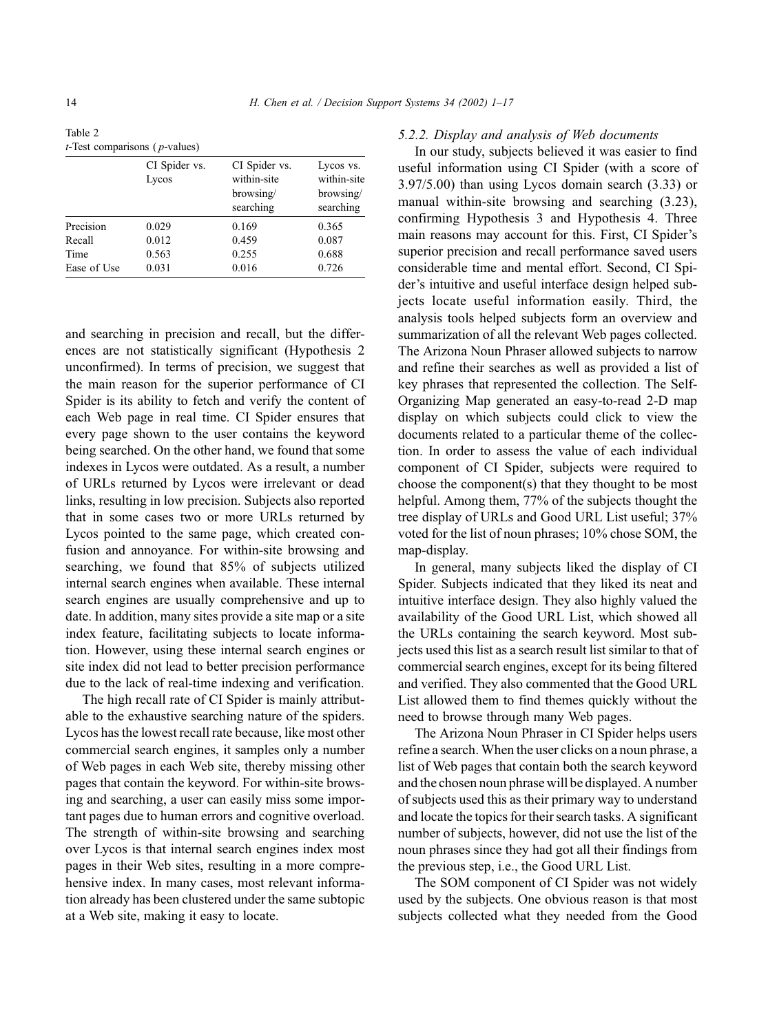<span id="page-13-0"></span>Table 2  $t$ -Test comparisons ( $p$ -values)

|             | CI Spider vs.<br>Lycos | CI Spider vs.<br>within-site<br>browsing/<br>searching | Lycos vs.<br>within-site<br>browsing/<br>searching |
|-------------|------------------------|--------------------------------------------------------|----------------------------------------------------|
| Precision   | 0.029                  | 0.169                                                  | 0.365                                              |
| Recall      | 0.012                  | 0.459                                                  | 0.087                                              |
| Time        | 0.563                  | 0.255                                                  | 0.688                                              |
| Ease of Use | 0.031                  | 0.016                                                  | 0.726                                              |

and searching in precision and recall, but the differences are not statistically significant (Hypothesis 2 unconfirmed). In terms of precision, we suggest that the main reason for the superior performance of CI Spider is its ability to fetch and verify the content of each Web page in real time. CI Spider ensures that every page shown to the user contains the keyword being searched. On the other hand, we found that some indexes in Lycos were outdated. As a result, a number of URLs returned by Lycos were irrelevant or dead links, resulting in low precision. Subjects also reported that in some cases two or more URLs returned by Lycos pointed to the same page, which created confusion and annoyance. For within-site browsing and searching, we found that 85% of subjects utilized internal search engines when available. These internal search engines are usually comprehensive and up to date. In addition, many sites provide a site map or a site index feature, facilitating subjects to locate information. However, using these internal search engines or site index did not lead to better precision performance due to the lack of real-time indexing and verification.

The high recall rate of CI Spider is mainly attributable to the exhaustive searching nature of the spiders. Lycos has the lowest recall rate because, like most other commercial search engines, it samples only a number of Web pages in each Web site, thereby missing other pages that contain the keyword. For within-site browsing and searching, a user can easily miss some important pages due to human errors and cognitive overload. The strength of within-site browsing and searching over Lycos is that internal search engines index most pages in their Web sites, resulting in a more comprehensive index. In many cases, most relevant information already has been clustered under the same subtopic at a Web site, making it easy to locate.

#### 5.2.2. Display and analysis of Web documents

In our study, subjects believed it was easier to find useful information using CI Spider (with a score of 3.97/5.00) than using Lycos domain search (3.33) or manual within-site browsing and searching (3.23), confirming Hypothesis 3 and Hypothesis 4. Three main reasons may account for this. First, CI Spider's superior precision and recall performance saved users considerable time and mental effort. Second, CI Spider's intuitive and useful interface design helped subjects locate useful information easily. Third, the analysis tools helped subjects form an overview and summarization of all the relevant Web pages collected. The Arizona Noun Phraser allowed subjects to narrow and refine their searches as well as provided a list of key phrases that represented the collection. The Self-Organizing Map generated an easy-to-read 2-D map display on which subjects could click to view the documents related to a particular theme of the collection. In order to assess the value of each individual component of CI Spider, subjects were required to choose the component(s) that they thought to be most helpful. Among them, 77% of the subjects thought the tree display of URLs and Good URL List useful; 37% voted for the list of noun phrases; 10% chose SOM, the map-display.

In general, many subjects liked the display of CI Spider. Subjects indicated that they liked its neat and intuitive interface design. They also highly valued the availability of the Good URL List, which showed all the URLs containing the search keyword. Most subjects used this list as a search result list similar to that of commercial search engines, except for its being filtered and verified. They also commented that the Good URL List allowed them to find themes quickly without the need to browse through many Web pages.

The Arizona Noun Phraser in CI Spider helps users refine a search. When the user clicks on a noun phrase, a list of Web pages that contain both the search keyword and the chosen noun phrase will be displayed. A number of subjects used this as their primary way to understand and locate the topics for their search tasks. A significant number of subjects, however, did not use the list of the noun phrases since they had got all their findings from the previous step, i.e., the Good URL List.

The SOM component of CI Spider was not widely used by the subjects. One obvious reason is that most subjects collected what they needed from the Good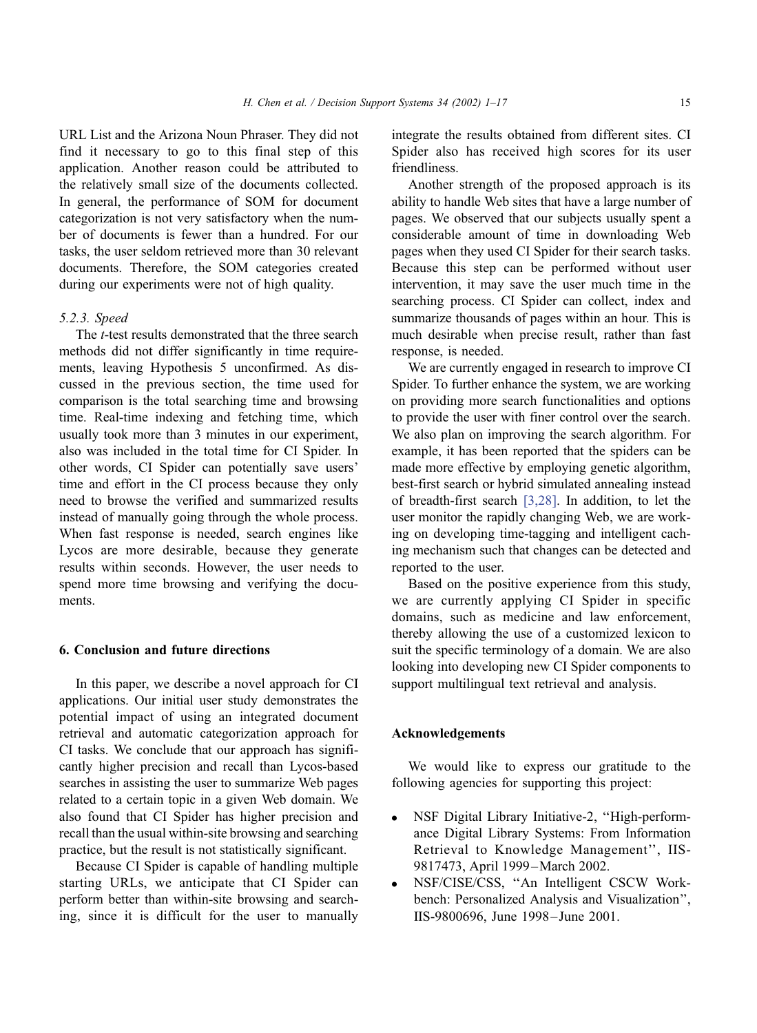URL List and the Arizona Noun Phraser. They did not find it necessary to go to this final step of this application. Another reason could be attributed to the relatively small size of the documents collected. In general, the performance of SOM for document categorization is not very satisfactory when the number of documents is fewer than a hundred. For our tasks, the user seldom retrieved more than 30 relevant documents. Therefore, the SOM categories created during our experiments were not of high quality.

# 5.2.3. Speed

The *t*-test results demonstrated that the three search methods did not differ significantly in time requirements, leaving Hypothesis 5 unconfirmed. As discussed in the previous section, the time used for comparison is the total searching time and browsing time. Real-time indexing and fetching time, which usually took more than 3 minutes in our experiment, also was included in the total time for CI Spider. In other words, CI Spider can potentially save users' time and effort in the CI process because they only need to browse the verified and summarized results instead of manually going through the whole process. When fast response is needed, search engines like Lycos are more desirable, because they generate results within seconds. However, the user needs to spend more time browsing and verifying the documents.

## 6. Conclusion and future directions

In this paper, we describe a novel approach for CI applications. Our initial user study demonstrates the potential impact of using an integrated document retrieval and automatic categorization approach for CI tasks. We conclude that our approach has significantly higher precision and recall than Lycos-based searches in assisting the user to summarize Web pages related to a certain topic in a given Web domain. We also found that CI Spider has higher precision and recall than the usual within-site browsing and searching practice, but the result is not statistically significant.

Because CI Spider is capable of handling multiple starting URLs, we anticipate that CI Spider can perform better than within-site browsing and searching, since it is difficult for the user to manually

integrate the results obtained from different sites. CI Spider also has received high scores for its user friendliness.

Another strength of the proposed approach is its ability to handle Web sites that have a large number of pages. We observed that our subjects usually spent a considerable amount of time in downloading Web pages when they used CI Spider for their search tasks. Because this step can be performed without user intervention, it may save the user much time in the searching process. CI Spider can collect, index and summarize thousands of pages within an hour. This is much desirable when precise result, rather than fast response, is needed.

We are currently engaged in research to improve CI Spider. To further enhance the system, we are working on providing more search functionalities and options to provide the user with finer control over the search. We also plan on improving the search algorithm. For example, it has been reported that the spiders can be made more effective by employing genetic algorithm, best-first search or hybrid simulated annealing instead of breadth-first search [\[3,28\].](#page-15-0) In addition, to let the user monitor the rapidly changing Web, we are working on developing time-tagging and intelligent caching mechanism such that changes can be detected and reported to the user.

Based on the positive experience from this study, we are currently applying CI Spider in specific domains, such as medicine and law enforcement, thereby allowing the use of a customized lexicon to suit the specific terminology of a domain. We are also looking into developing new CI Spider components to support multilingual text retrieval and analysis.

# Acknowledgements

We would like to express our gratitude to the following agencies for supporting this project:

- . NSF Digital Library Initiative-2, ''High-performance Digital Library Systems: From Information Retrieval to Knowledge Management'', IIS-9817473, April 1999 –March 2002.
- . NSF/CISE/CSS, ''An Intelligent CSCW Workbench: Personalized Analysis and Visualization'', IIS-9800696, June 1998 – June 2001.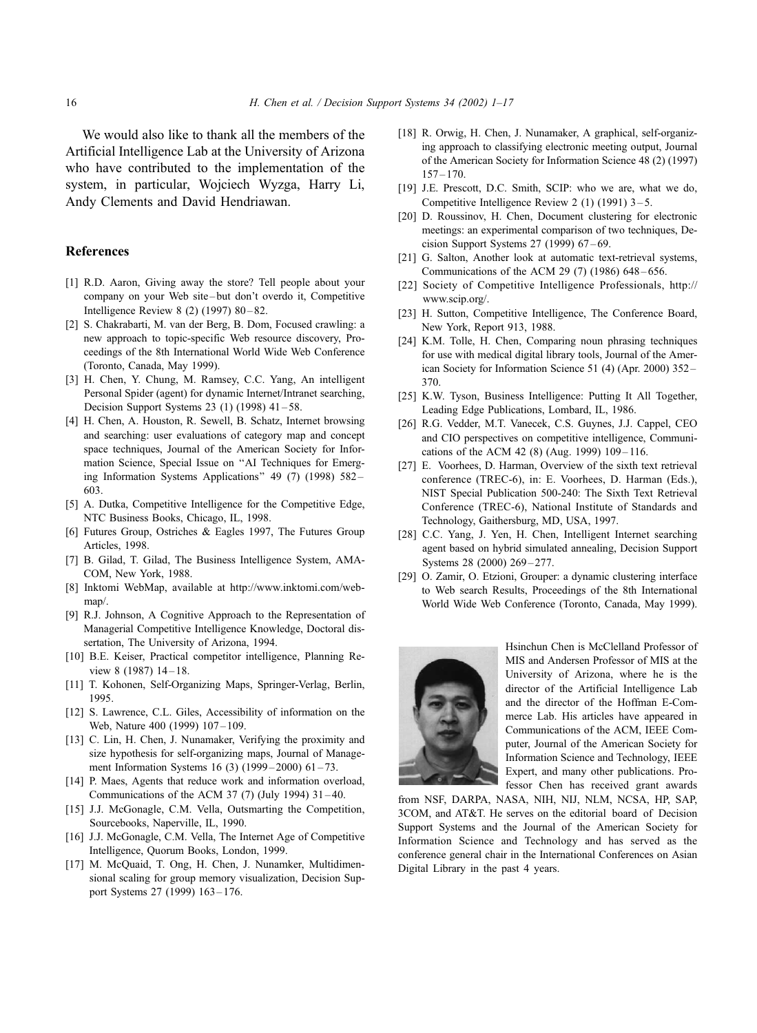<span id="page-15-0"></span>We would also like to thank all the members of the Artificial Intelligence Lab at the University of Arizona who have contributed to the implementation of the system, in particular, Wojciech Wyzga, Harry Li, Andy Clements and David Hendriawan.

## References

- [1] R.D. Aaron, Giving away the store? Tell people about your company on your Web site – but don't overdo it, Competitive Intelligence Review 8 (2) (1997) 80 – 82.
- [2] S. Chakrabarti, M. van der Berg, B. Dom, Focused crawling: a new approach to topic-specific Web resource discovery, Proceedings of the 8th International World Wide Web Conference (Toronto, Canada, May 1999).
- [3] H. Chen, Y. Chung, M. Ramsey, C.C. Yang, An intelligent Personal Spider (agent) for dynamic Internet/Intranet searching, Decision Support Systems 23 (1) (1998) 41 – 58.
- [4] H. Chen, A. Houston, R. Sewell, B. Schatz, Internet browsing and searching: user evaluations of category map and concept space techniques, Journal of the American Society for Information Science, Special Issue on ''AI Techniques for Emerging Information Systems Applications'' 49 (7) (1998) 582 – 603.
- [5] A. Dutka, Competitive Intelligence for the Competitive Edge, NTC Business Books, Chicago, IL, 1998.
- [6] Futures Group, Ostriches & Eagles 1997, The Futures Group Articles, 1998.
- [7] B. Gilad, T. Gilad, The Business Intelligence System, AMA-COM, New York, 1988.
- [8] Inktomi WebMap, available at [http://www.inktomi.com/web]( http:\\www.inktomi.com\webmap\ )map/.
- [9] R.J. Johnson, A Cognitive Approach to the Representation of Managerial Competitive Intelligence Knowledge, Doctoral dissertation, The University of Arizona, 1994.
- [10] B.E. Keiser, Practical competitor intelligence, Planning Review 8 (1987) 14-18.
- [11] T. Kohonen, Self-Organizing Maps, Springer-Verlag, Berlin, 1995.
- [12] S. Lawrence, C.L. Giles, Accessibility of information on the Web, Nature 400 (1999) 107-109.
- [13] C. Lin, H. Chen, J. Nunamaker, Verifying the proximity and size hypothesis for self-organizing maps, Journal of Management Information Systems 16 (3) (1999–2000) 61–73.
- [14] P. Maes, Agents that reduce work and information overload, Communications of the ACM 37 (7) (July 1994)  $31-40$ .
- [15] J.J. McGonagle, C.M. Vella, Outsmarting the Competition, Sourcebooks, Naperville, IL, 1990.
- [16] J.J. McGonagle, C.M. Vella, The Internet Age of Competitive Intelligence, Quorum Books, London, 1999.
- [17] M. McQuaid, T. Ong, H. Chen, J. Nunamker, Multidimensional scaling for group memory visualization, Decision Support Systems 27 (1999) 163 – 176.
- [18] R. Orwig, H. Chen, J. Nunamaker, A graphical, self-organizing approach to classifying electronic meeting output, Journal of the American Society for Information Science 48 (2) (1997)  $157 - 170.$
- [19] J.E. Prescott, D.C. Smith, SCIP: who we are, what we do, Competitive Intelligence Review 2 (1) (1991)  $3-5$ .
- [20] D. Roussinov, H. Chen, Document clustering for electronic meetings: an experimental comparison of two techniques, Decision Support Systems 27 (1999) 67-69.
- [21] G. Salton, Another look at automatic text-retrieval systems, Communications of the ACM 29 (7) (1986) 648 – 656.
- [22] Society of Competitive Intelligence Professionals, [http://]( http:\\www.scip.org\ ) www.scip.org/.
- [23] H. Sutton, Competitive Intelligence, The Conference Board, New York, Report 913, 1988.
- [24] K.M. Tolle, H. Chen, Comparing noun phrasing techniques for use with medical digital library tools, Journal of the American Society for Information Science 51 (4) (Apr. 2000) 352 – 370.
- [25] K.W. Tyson, Business Intelligence: Putting It All Together, Leading Edge Publications, Lombard, IL, 1986.
- [26] R.G. Vedder, M.T. Vanecek, C.S. Guynes, J.J. Cappel, CEO and CIO perspectives on competitive intelligence, Communications of the ACM 42 (8) (Aug. 1999) 109-116.
- [27] E. Voorhees, D. Harman, Overview of the sixth text retrieval conference (TREC-6), in: E. Voorhees, D. Harman (Eds.), NIST Special Publication 500-240: The Sixth Text Retrieval Conference (TREC-6), National Institute of Standards and Technology, Gaithersburg, MD, USA, 1997.
- [28] C.C. Yang, J. Yen, H. Chen, Intelligent Internet searching agent based on hybrid simulated annealing, Decision Support Systems 28 (2000) 269-277.
- [29] O. Zamir, O. Etzioni, Grouper: a dynamic clustering interface to Web search Results, Proceedings of the 8th International World Wide Web Conference (Toronto, Canada, May 1999).



Hsinchun Chen is McClelland Professor of MIS and Andersen Professor of MIS at the University of Arizona, where he is the director of the Artificial Intelligence Lab and the director of the Hoffman E-Commerce Lab. His articles have appeared in Communications of the ACM, IEEE Computer, Journal of the American Society for Information Science and Technology, IEEE Expert, and many other publications. Professor Chen has received grant awards

from NSF, DARPA, NASA, NIH, NIJ, NLM, NCSA, HP, SAP, 3COM, and AT&T. He serves on the editorial board of Decision Support Systems and the Journal of the American Society for Information Science and Technology and has served as the conference general chair in the International Conferences on Asian Digital Library in the past 4 years.